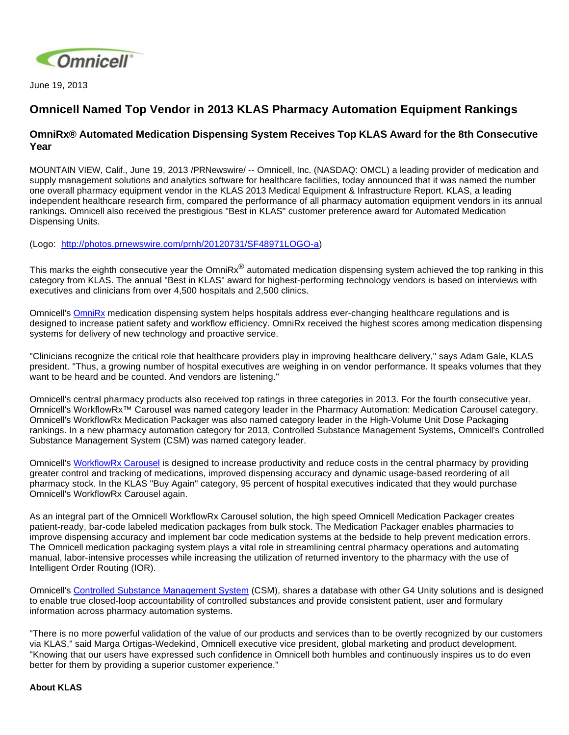

June 19, 2013

## **Omnicell Named Top Vendor in 2013 KLAS Pharmacy Automation Equipment Rankings**

## **OmniRx® Automated Medication Dispensing System Receives Top KLAS Award for the 8th Consecutive Year**

MOUNTAIN VIEW, Calif., June 19, 2013 /PRNewswire/ -- Omnicell, Inc. (NASDAQ: OMCL) a leading provider of medication and supply management solutions and analytics software for healthcare facilities, today announced that it was named the number one overall pharmacy equipment vendor in the KLAS 2013 Medical Equipment & Infrastructure Report. KLAS, a leading independent healthcare research firm, compared the performance of all pharmacy automation equipment vendors in its annual rankings. Omnicell also received the prestigious "Best in KLAS" customer preference award for Automated Medication Dispensing Units.

(Logo: <http://photos.prnewswire.com/prnh/20120731/SF48971LOGO-a>)

This marks the eighth consecutive year the OmniRx® automated medication dispensing system achieved the top ranking in this category from KLAS. The annual "Best in KLAS" award for highest-performing technology vendors is based on interviews with executives and clinicians from over 4,500 hospitals and 2,500 clinics.

Omnicell's [OmniRx](http://www.omnicell.com/Products/Medication_Dispensing/Automated_Medication_Dispensing_Cabinets.aspx) medication dispensing system helps hospitals address ever-changing healthcare regulations and is designed to increase patient safety and workflow efficiency. OmniRx received the highest scores among medication dispensing systems for delivery of new technology and proactive service.

"Clinicians recognize the critical role that healthcare providers play in improving healthcare delivery," says Adam Gale, KLAS president. "Thus, a growing number of hospital executives are weighing in on vendor performance. It speaks volumes that they want to be heard and be counted. And vendors are listening."

Omnicell's central pharmacy products also received top ratings in three categories in 2013. For the fourth consecutive year, Omnicell's WorkflowRx™ Carousel was named category leader in the Pharmacy Automation: Medication Carousel category. Omnicell's WorkflowRx Medication Packager was also named category leader in the High-Volume Unit Dose Packaging rankings. In a new pharmacy automation category for 2013, Controlled Substance Management Systems, Omnicell's Controlled Substance Management System (CSM) was named category leader.

Omnicell's [WorkflowRx Carousel](http://www.omnicell.com/Products/Central_Pharmacy_Automation/WorkflowRx_System.aspx) is designed to increase productivity and reduce costs in the central pharmacy by providing greater control and tracking of medications, improved dispensing accuracy and dynamic usage-based reordering of all pharmacy stock. In the KLAS "Buy Again" category, 95 percent of hospital executives indicated that they would purchase Omnicell's WorkflowRx Carousel again.

As an integral part of the Omnicell WorkflowRx Carousel solution, the high speed Omnicell Medication Packager creates patient-ready, bar-code labeled medication packages from bulk stock. The Medication Packager enables pharmacies to improve dispensing accuracy and implement bar code medication systems at the bedside to help prevent medication errors. The Omnicell medication packaging system plays a vital role in streamlining central pharmacy operations and automating manual, labor-intensive processes while increasing the utilization of returned inventory to the pharmacy with the use of Intelligent Order Routing (IOR).

Omnicell's [Controlled Substance Management System](http://www.omnicell.com/Products/Central_Pharmacy_Automation/Controlled_Substance_Management_System.aspx) (CSM), shares a database with other G4 Unity solutions and is designed to enable true closed-loop accountability of controlled substances and provide consistent patient, user and formulary information across pharmacy automation systems.

"There is no more powerful validation of the value of our products and services than to be overtly recognized by our customers via KLAS," said Marga Ortigas-Wedekind, Omnicell executive vice president, global marketing and product development. "Knowing that our users have expressed such confidence in Omnicell both humbles and continuously inspires us to do even better for them by providing a superior customer experience."

## **About KLAS**